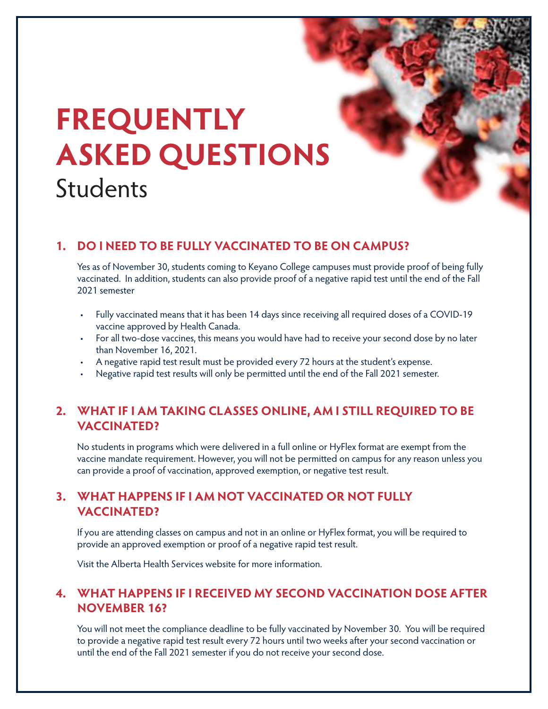# **FREQUENTLY ASKED QUESTIONS** Students

#### **1. DO I NEED TO BE FULLY VACCINATED TO BE ON CAMPUS?**

Yes as of November 30, students coming to Keyano College campuses must provide proof of being fully vaccinated. In addition, students can also provide proof of a negative rapid test until the end of the Fall 2021 semester

- Fully vaccinated means that it has been 14 days since receiving all required doses of a COVID-19 vaccine approved by Health Canada.
- For all two-dose vaccines, this means you would have had to receive your second dose by no later than November 16, 2021.
- A negative rapid test result must be provided every 72 hours at the student's expense.
- Negative rapid test results will only be permitted until the end of the Fall 2021 semester.

## **2. WHAT IF I AM TAKING CLASSES ONLINE, AM I STILL REQUIRED TO BE VACCINATED?**

No students in programs which were delivered in a full online or HyFlex format are exempt from the vaccine mandate requirement. However, you will not be permitted on campus for any reason unless you can provide a proof of vaccination, approved exemption, or negative test result.

## **3. WHAT HAPPENS IF I AM NOT VACCINATED OR NOT FULLY VACCINATED?**

If you are attending classes on campus and not in an online or HyFlex format, you will be required to provide an approved exemption or proof of a negative rapid test result.

Visit the Alberta Health Services website for more information.

#### **4. WHAT HAPPENS IF I RECEIVED MY SECOND VACCINATION DOSE AFTER NOVEMBER 16?**

You will not meet the compliance deadline to be fully vaccinated by November 30. You will be required to provide a negative rapid test result every 72 hours until two weeks after your second vaccination or until the end of the Fall 2021 semester if you do not receive your second dose.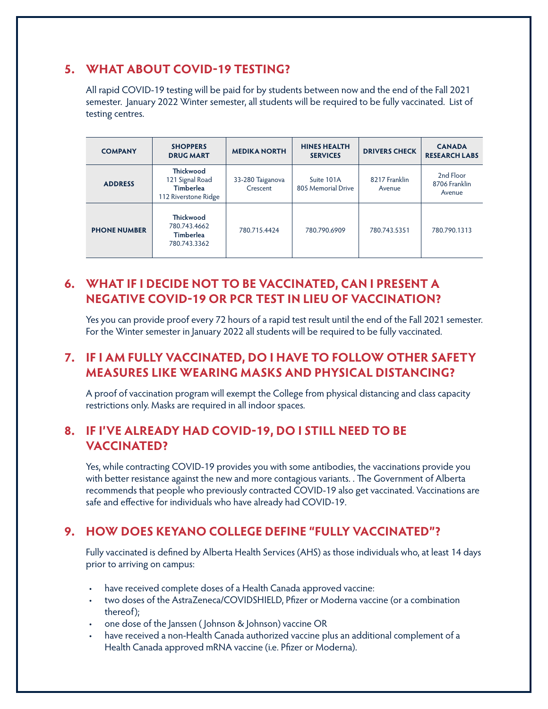#### **5. WHAT ABOUT COVID-19 TESTING?**

All rapid COVID-19 testing will be paid for by students between now and the end of the Fall 2021 semester. January 2022 Winter semester, all students will be required to be fully vaccinated. List of testing centres.

| <b>COMPANY</b>      | <b>SHOPPERS</b><br><b>DRUG MART</b>                                             | <b>MEDIKA NORTH</b>          | <b>HINES HEALTH</b><br><b>SERVICES</b> | <b>DRIVERS CHECK</b>    | <b>CANADA</b><br><b>RESEARCH LABS</b> |
|---------------------|---------------------------------------------------------------------------------|------------------------------|----------------------------------------|-------------------------|---------------------------------------|
| <b>ADDRESS</b>      | <b>Thickwood</b><br>121 Signal Road<br><b>Timberlea</b><br>112 Riverstone Ridge | 33-280 Taiganova<br>Crescent | Suite 101A<br>805 Memorial Drive       | 8217 Franklin<br>Avenue | 2nd Floor<br>8706 Franklin<br>Avenue  |
| <b>PHONE NUMBER</b> | <b>Thickwood</b><br>780.743.4662<br><b>Timberlea</b><br>780.743.3362            | 780.715.4424                 | 780.790.6909                           | 780.743.5351            | 780.790.1313                          |

## **6. WHAT IF I DECIDE NOT TO BE VACCINATED, CAN I PRESENT A NEGATIVE COVID-19 OR PCR TEST IN LIEU OF VACCINATION?**

Yes you can provide proof every 72 hours of a rapid test result until the end of the Fall 2021 semester. For the Winter semester in January 2022 all students will be required to be fully vaccinated.

## **7. IF I AM FULLY VACCINATED, DO I HAVE TO FOLLOW OTHER SAFETY MEASURES LIKE WEARING MASKS AND PHYSICAL DISTANCING?**

A proof of vaccination program will exempt the College from physical distancing and class capacity restrictions only. Masks are required in all indoor spaces.

#### **8. IF I'VE ALREADY HAD COVID-19, DO I STILL NEED TO BE VACCINATED?**

Yes, while contracting COVID-19 provides you with some antibodies, the vaccinations provide you with better resistance against the new and more contagious variants. . The Government of Alberta recommends that people who previously contracted COVID-19 also get vaccinated. Vaccinations are safe and effective for individuals who have already had COVID-19.

#### **9. HOW DOES KEYANO COLLEGE DEFINE "FULLY VACCINATED"?**

Fully vaccinated is defined by Alberta Health Services (AHS) as those individuals who, at least 14 days prior to arriving on campus:

- have received complete doses of a Health Canada approved vaccine:
- two doses of the AstraZeneca/COVIDSHIELD, Pfizer or Moderna vaccine (or a combination thereof);
- one dose of the Janssen ( Johnson & Johnson) vaccine OR
- have received a non-Health Canada authorized vaccine plus an additional complement of a Health Canada approved mRNA vaccine (i.e. Pfizer or Moderna).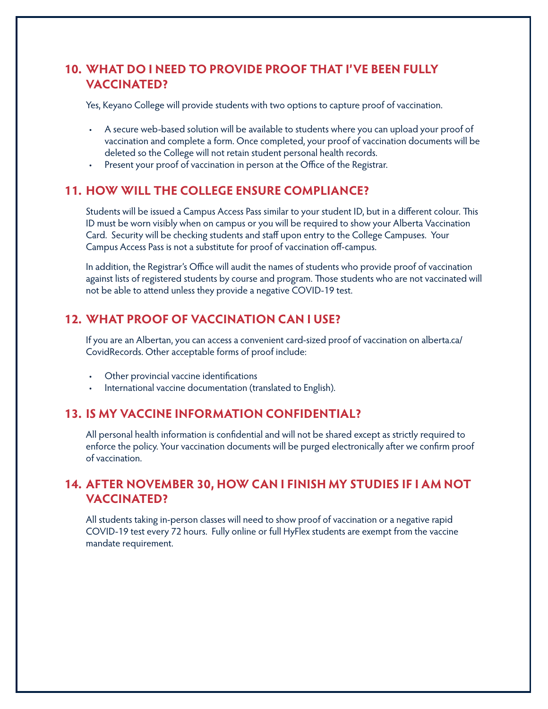## **10. WHAT DO I NEED TO PROVIDE PROOF THAT I'VE BEEN FULLY VACCINATED?**

Yes, Keyano College will provide students with two options to capture proof of vaccination.

- A secure web-based solution will be available to students where you can upload your proof of vaccination and complete a form. Once completed, your proof of vaccination documents will be deleted so the College will not retain student personal health records.
- Present your proof of vaccination in person at the Office of the Registrar.

#### **11. HOW WILL THE COLLEGE ENSURE COMPLIANCE?**

Students will be issued a Campus Access Pass similar to your student ID, but in a different colour. This ID must be worn visibly when on campus or you will be required to show your Alberta Vaccination Card. Security will be checking students and staff upon entry to the College Campuses. Your Campus Access Pass is not a substitute for proof of vaccination off-campus.

In addition, the Registrar's Office will audit the names of students who provide proof of vaccination against lists of registered students by course and program. Those students who are not vaccinated will not be able to attend unless they provide a negative COVID-19 test.

### **12. WHAT PROOF OF VACCINATION CAN I USE?**

If you are an Albertan, you can access a convenient card-sized proof of vaccination on alberta.ca/ CovidRecords. Other acceptable forms of proof include:

- Other provincial vaccine identifications
- International vaccine documentation (translated to English).

#### **13. IS MY VACCINE INFORMATION CONFIDENTIAL?**

All personal health information is confidential and will not be shared except as strictly required to enforce the policy. Your vaccination documents will be purged electronically after we confirm proof of vaccination.

## **14. AFTER NOVEMBER 30, HOW CAN I FINISH MY STUDIES IF I AM NOT VACCINATED?**

All students taking in-person classes will need to show proof of vaccination or a negative rapid COVID-19 test every 72 hours. Fully online or full HyFlex students are exempt from the vaccine mandate requirement.